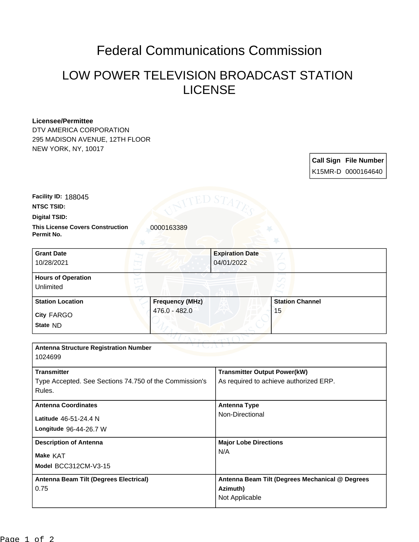# Federal Communications Commission

## LOW POWER TELEVISION BROADCAST STATION LICENSE

#### **Licensee/Permittee**

DTV AMERICA CORPORATION 295 MADISON AVENUE, 12TH FLOOR NEW YORK, NY, 10017

### **Call Sign File Number** K15MR-D 0000164640

**Facility ID:** 188045

**NTSC TSID:**

**Digital TSID:**

**This License Covers Construction**  0000163389 **Permit No.**

| <b>Grant Date</b><br>10/28/2021        |                        | <b>Expiration Date</b><br>04/01/2022 |                        |  |
|----------------------------------------|------------------------|--------------------------------------|------------------------|--|
| <b>Hours of Operation</b><br>Unlimited |                        |                                      |                        |  |
| <b>Station Location</b>                | <b>Frequency (MHz)</b> |                                      | <b>Station Channel</b> |  |
| <b>City FARGO</b><br>State ND          | 476.0 - 482.0          |                                      | 15                     |  |

| <b>Antenna Structure Registration Number</b>           |                                                 |  |  |  |  |
|--------------------------------------------------------|-------------------------------------------------|--|--|--|--|
| 1024699                                                |                                                 |  |  |  |  |
|                                                        |                                                 |  |  |  |  |
| <b>Transmitter</b>                                     | <b>Transmitter Output Power(kW)</b>             |  |  |  |  |
| Type Accepted. See Sections 74.750 of the Commission's | As required to achieve authorized ERP.          |  |  |  |  |
| Rules.                                                 |                                                 |  |  |  |  |
|                                                        |                                                 |  |  |  |  |
| <b>Antenna Coordinates</b>                             | <b>Antenna Type</b>                             |  |  |  |  |
| Latitude 46-51-24.4 N                                  | Non-Directional                                 |  |  |  |  |
|                                                        |                                                 |  |  |  |  |
| Longitude 96-44-26.7 W                                 |                                                 |  |  |  |  |
| <b>Description of Antenna</b>                          | <b>Major Lobe Directions</b>                    |  |  |  |  |
|                                                        | N/A                                             |  |  |  |  |
| Make KAT                                               |                                                 |  |  |  |  |
| Model BCC312CM-V3-15                                   |                                                 |  |  |  |  |
|                                                        |                                                 |  |  |  |  |
| Antenna Beam Tilt (Degrees Electrical)                 | Antenna Beam Tilt (Degrees Mechanical @ Degrees |  |  |  |  |
| 0.75                                                   | Azimuth)                                        |  |  |  |  |
|                                                        | Not Applicable                                  |  |  |  |  |
|                                                        |                                                 |  |  |  |  |